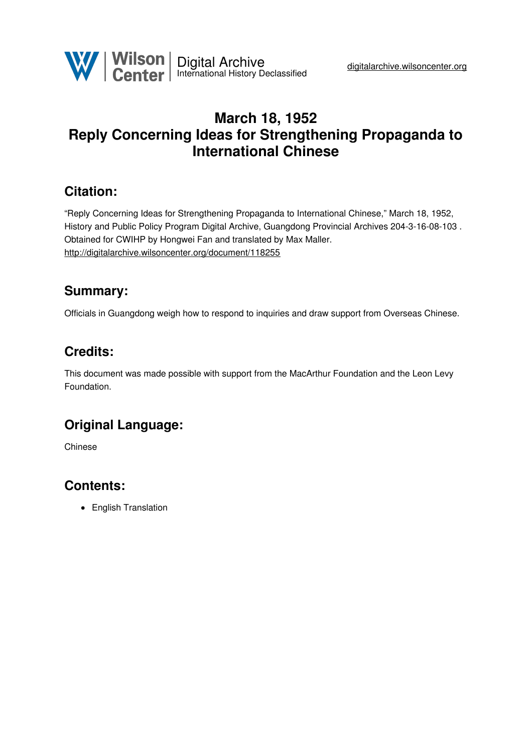

# **March 18, 1952 Reply Concerning Ideas for Strengthening Propaganda to International Chinese**

#### **Citation:**

"Reply Concerning Ideas for Strengthening Propaganda to International Chinese," March 18, 1952, History and Public Policy Program Digital Archive, Guangdong Provincial Archives 204-3-16-08-103 . Obtained for CWIHP by Hongwei Fan and translated by Max Maller. <http://digitalarchive.wilsoncenter.org/document/118255>

### **Summary:**

Officials in Guangdong weigh how to respond to inquiries and draw support from Overseas Chinese.

### **Credits:**

This document was made possible with support from the MacArthur Foundation and the Leon Levy Foundation.

# **Original Language:**

Chinese

## **Contents:**

• English Translation